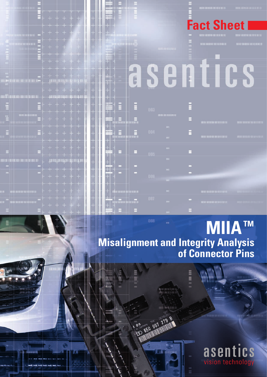

## **MIIATM Misalignment and Integrity Analysis of Connector Pins**